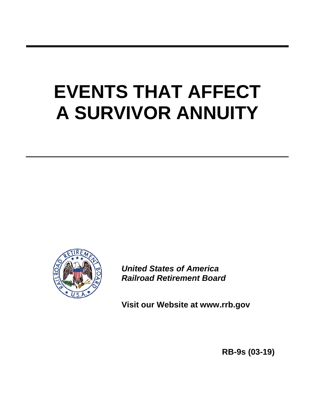# **EVENTS THAT AFFECT A SURVIVOR ANNUITY**



*United States of America Railroad Retirement Board*

**Visit our Website at www.rrb.gov**

 **RB-9s (03-19)**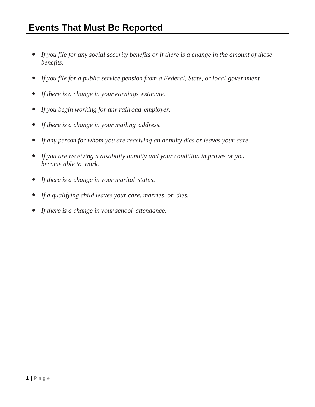- *If you file for any social security benefits or if there is a change in the amount of those benefits.*
- *If you file for a public service pension from a Federal, State, or local government.*
- *If there is a change in your earnings estimate.*
- *If you begin working for any railroad employer.*
- *If there is a change in your mailing address.*
- *If any person for whom you are receiving an annuity dies or leaves your care.*
- *If you are receiving a disability annuity and your condition improves or you become able to work.*
- *If there is a change in your marital status.*
- *If a qualifying child leaves your care, marries, or dies.*
- *If there is a change in your school attendance.*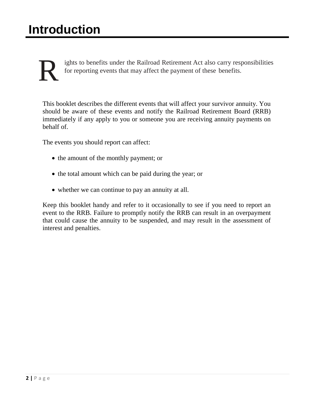ights to benefits under the Railroad Retirement Act also carry responsibilities for reporting events that may affect the payment of these benefits.

This booklet describes the different events that will affect your survivor annuity. You should be aware of these events and notify the Railroad Retirement Board (RRB) immediately if any apply to you or someone you are receiving annuity payments on behalf of.

The events you should report can affect:

- the amount of the monthly payment; or
- the total amount which can be paid during the year; or
- whether we can continue to pay an annuity at all.

Keep this booklet handy and refer to it occasionally to see if you need to report an event to the RRB. Failure to promptly notify the RRB can result in an overpayment that could cause the annuity to be suspended, and may result in the assessment of interest and penalties.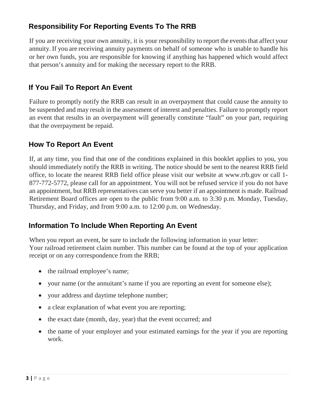## **Responsibility For Reporting Events To The RRB**

If you are receiving your own annuity, it is your responsibility to report the events that affect your annuity. If you are receiving annuity payments on behalf of someone who is unable to handle his or her own funds, you are responsible for knowing if anything has happened which would affect that person's annuity and for making the necessary report to the RRB.

## **If You Fail To Report An Event**

Failure to promptly notify the RRB can result in an overpayment that could cause the annuity to be suspended and may result in the assessment of interest and penalties. Failure to promptly report an event that results in an overpayment will generally constitute "fault" on your part, requiring that the overpayment be repaid.

## **How To Report An Event**

If, at any time, you find that one of the conditions explained in this booklet applies to you, you should immediately notify the RRB in writing. The notice should be sent to the nearest RRB field office, to locate the nearest RRB field office please visit our website at www.rrb.gov or call 1- 877-772-5772, please call for an appointment. You will not be refused service if you do not have an appointment, but RRB representatives can serve you better if an appointment is made. Railroad Retirement Board offices are open to the public from 9:00 a.m. to 3:30 p.m. Monday, Tuesday, Thursday, and Friday, and from 9:00 a.m. to 12:00 p.m. on Wednesday.

## **Information To Include When Reporting An Event**

When you report an event, be sure to include the following information in your letter: Your railroad retirement claim number. This number can be found at the top of your application receipt or on any correspondence from the RRB;

- the railroad employee's name;
- your name (or the annuitant's name if you are reporting an event for someone else);
- your address and daytime telephone number;
- a clear explanation of what event you are reporting;
- the exact date (month, day, year) that the event occurred; and
- the name of your employer and your estimated earnings for the year if you are reporting work.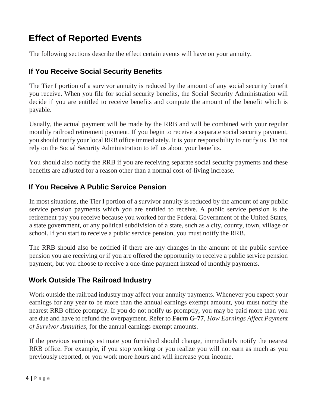## **Effect of Reported Events**

The following sections describe the effect certain events will have on your annuity.

## **If You Receive Social Security Benefits**

The Tier I portion of a survivor annuity is reduced by the amount of any social security benefit you receive. When you file for social security benefits, the Social Security Administration will decide if you are entitled to receive benefits and compute the amount of the benefit which is payable.

Usually, the actual payment will be made by the RRB and will be combined with your regular monthly railroad retirement payment. If you begin to receive a separate social security payment, you should notify your local RRB office immediately. It is your responsibility to notify us. Do not rely on the Social Security Administration to tell us about your benefits.

You should also notify the RRB if you are receiving separate social security payments and these benefits are adjusted for a reason other than a normal cost-of-living increase.

## **If You Receive A Public Service Pension**

In most situations, the Tier I portion of a survivor annuity is reduced by the amount of any public service pension payments which you are entitled to receive. A public service pension is the retirement pay you receive because you worked for the Federal Government of the United States, a state government, or any political subdivision of a state, such as a city, county, town, village or school. If you start to receive a public service pension, you must notify the RRB.

The RRB should also be notified if there are any changes in the amount of the public service pension you are receiving or if you are offered the opportunity to receive a public service pension payment, but you choose to receive a one-time payment instead of monthly payments.

## **Work Outside The Railroad Industry**

Work outside the railroad industry may affect your annuity payments. Whenever you expect your earnings for any year to be more than the annual earnings exempt amount, you must notify the nearest RRB office promptly. If you do not notify us promptly, you may be paid more than you are due and have to refund the overpayment. Refer to **Form G-77**, *How Earnings Affect Payment of Survivor Annuities*, for the annual earnings exempt amounts.

If the previous earnings estimate you furnished should change, immediately notify the nearest RRB office. For example, if you stop working or you realize you will not earn as much as you previously reported, or you work more hours and will increase your income.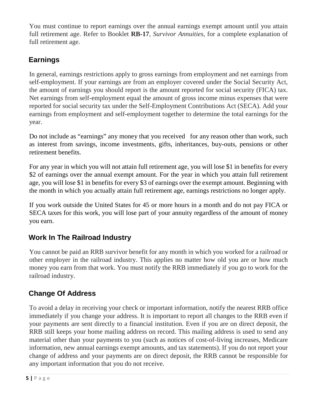You must continue to report earnings over the annual earnings exempt amount until you attain full retirement age. Refer to Booklet **RB-17**, *Survivor Annuities*, for a complete explanation of full retirement age.

## **Earnings**

In general, earnings restrictions apply to gross earnings from employment and net earnings from self-employment. If your earnings are from an employer covered under the Social Security Act, the amount of earnings you should report is the amount reported for social security (FICA) tax. Net earnings from self-employment equal the amount of gross income minus expenses that were reported for social security tax under the Self-Employment Contributions Act (SECA). Add your earnings from employment and self-employment together to determine the total earnings for the year.

Do not include as "earnings" any money that you received for any reason other than work, such as interest from savings, income investments, gifts, inheritances, buy-outs, pensions or other retirement benefits.

For any year in which you will not attain full retirement age, you will lose \$1 in benefits for every \$2 of earnings over the annual exempt amount. For the year in which you attain full retirement age, you will lose \$1 in benefits for every \$3 of earnings over the exempt amount. Beginning with the month in which you actually attain full retirement age, earnings restrictions no longer apply.

If you work outside the United States for 45 or more hours in a month and do not pay FICA or SECA taxes for this work, you will lose part of your annuity regardless of the amount of money you earn.

## **Work In The Railroad Industry**

You cannot be paid an RRB survivor benefit for any month in which you worked for a railroad or other employer in the railroad industry. This applies no matter how old you are or how much money you earn from that work. You must notify the RRB immediately if you go to work for the railroad industry.

## **Change Of Address**

To avoid a delay in receiving your check or important information, notify the nearest RRB office immediately if you change your address. It is important to report all changes to the RRB even if your payments are sent directly to a financial institution. Even if you are on direct deposit, the RRB still keeps your home mailing address on record. This mailing address is used to send any material other than your payments to you (such as notices of cost-of-living increases, Medicare information, new annual earnings exempt amounts, and tax statements). If you do not report your change of address and your payments are on direct deposit, the RRB cannot be responsible for any important information that you do not receive.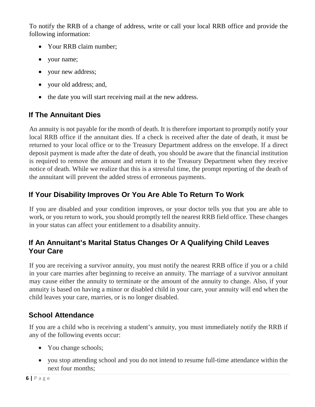To notify the RRB of a change of address, write or call your local RRB office and provide the following information:

- Your RRB claim number;
- your name;
- your new address;
- your old address; and,
- the date you will start receiving mail at the new address.

## **If The Annuitant Dies**

An annuity is not payable for the month of death. It is therefore important to promptly notify your local RRB office if the annuitant dies. If a check is received after the date of death, it must be returned to your local office or to the Treasury Department address on the envelope. If a direct deposit payment is made after the date of death, you should be aware that the financial institution is required to remove the amount and return it to the Treasury Department when they receive notice of death. While we realize that this is a stressful time, the prompt reporting of the death of the annuitant will prevent the added stress of erroneous payments.

## **If Your Disability Improves Or You Are Able To Return To Work**

If you are disabled and your condition improves, or your doctor tells you that you are able to work, or you return to work, you should promptly tell the nearest RRB field office. These changes in your status can affect your entitlement to a disability annuity.

## **If An Annuitant's Marital Status Changes Or A Qualifying Child Leaves Your Care**

If you are receiving a survivor annuity, you must notify the nearest RRB office if you or a child in your care marries after beginning to receive an annuity. The marriage of a survivor annuitant may cause either the annuity to terminate or the amount of the annuity to change. Also, if your annuity is based on having a minor or disabled child in your care, your annuity will end when the child leaves your care, marries, or is no longer disabled.

## **School Attendance**

If you are a child who is receiving a student's annuity, you must immediately notify the RRB if any of the following events occur:

- You change schools;
- you stop attending school and you do not intend to resume full-time attendance within the next four months;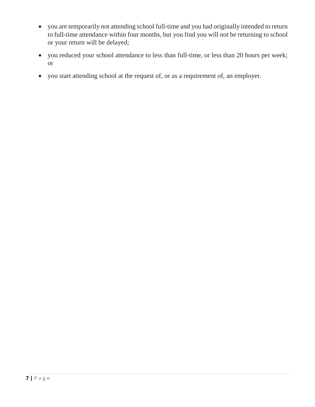- you are temporarily not attending school full-time and you had originally intended to return to full-time attendance within four months, but you find you will not be returning to school or your return will be delayed;
- you reduced your school attendance to less than full-time, or less than 20 hours per week; or
- you start attending school at the request of, or as a requirement of, an employer.